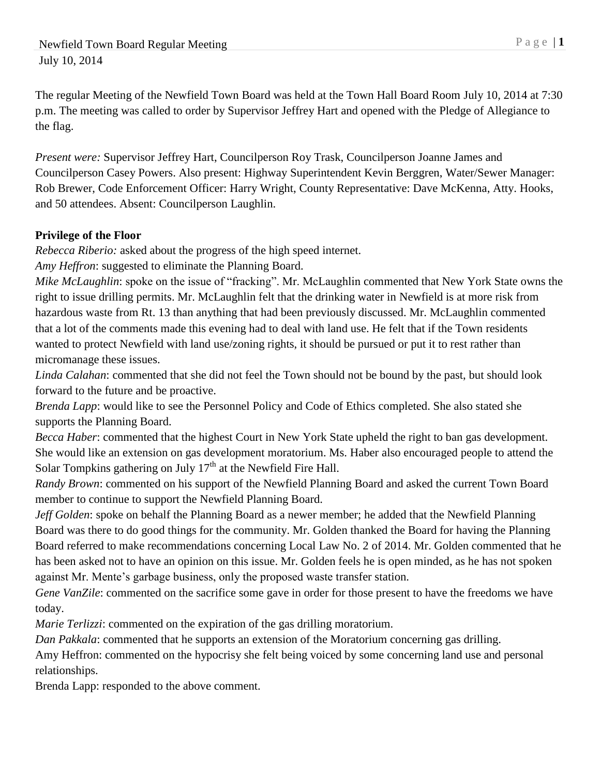Newfield Town Board Regular Meeting P a g e | 1 July 10, 2014

The regular Meeting of the Newfield Town Board was held at the Town Hall Board Room July 10, 2014 at 7:30 p.m. The meeting was called to order by Supervisor Jeffrey Hart and opened with the Pledge of Allegiance to the flag.

*Present were:* Supervisor Jeffrey Hart, Councilperson Roy Trask, Councilperson Joanne James and Councilperson Casey Powers. Also present: Highway Superintendent Kevin Berggren, Water/Sewer Manager: Rob Brewer, Code Enforcement Officer: Harry Wright, County Representative: Dave McKenna, Atty. Hooks, and 50 attendees. Absent: Councilperson Laughlin.

## **Privilege of the Floor**

*Rebecca Riberio:* asked about the progress of the high speed internet.

*Amy Heffron*: suggested to eliminate the Planning Board.

*Mike McLaughlin*: spoke on the issue of "fracking". Mr. McLaughlin commented that New York State owns the right to issue drilling permits. Mr. McLaughlin felt that the drinking water in Newfield is at more risk from hazardous waste from Rt. 13 than anything that had been previously discussed. Mr. McLaughlin commented that a lot of the comments made this evening had to deal with land use. He felt that if the Town residents wanted to protect Newfield with land use/zoning rights, it should be pursued or put it to rest rather than micromanage these issues.

*Linda Calahan*: commented that she did not feel the Town should not be bound by the past, but should look forward to the future and be proactive.

*Brenda Lapp*: would like to see the Personnel Policy and Code of Ethics completed. She also stated she supports the Planning Board.

*Becca Haber*: commented that the highest Court in New York State upheld the right to ban gas development. She would like an extension on gas development moratorium. Ms. Haber also encouraged people to attend the Solar Tompkins gathering on July  $17<sup>th</sup>$  at the Newfield Fire Hall.

*Randy Brown*: commented on his support of the Newfield Planning Board and asked the current Town Board member to continue to support the Newfield Planning Board.

*Jeff Golden*: spoke on behalf the Planning Board as a newer member; he added that the Newfield Planning Board was there to do good things for the community. Mr. Golden thanked the Board for having the Planning Board referred to make recommendations concerning Local Law No. 2 of 2014. Mr. Golden commented that he has been asked not to have an opinion on this issue. Mr. Golden feels he is open minded, as he has not spoken against Mr. Mente's garbage business, only the proposed waste transfer station.

*Gene VanZile*: commented on the sacrifice some gave in order for those present to have the freedoms we have today.

*Marie Terlizzi*: commented on the expiration of the gas drilling moratorium.

*Dan Pakkala*: commented that he supports an extension of the Moratorium concerning gas drilling.

Amy Heffron: commented on the hypocrisy she felt being voiced by some concerning land use and personal relationships.

Brenda Lapp: responded to the above comment.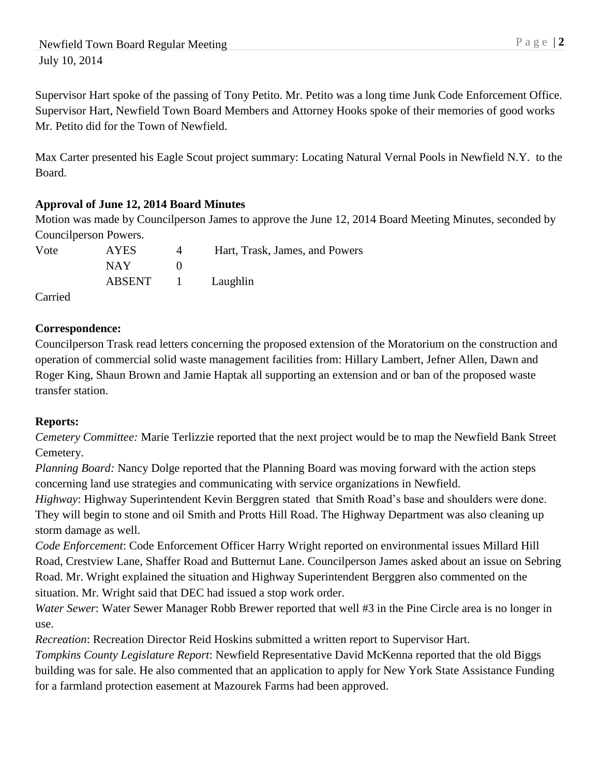Supervisor Hart spoke of the passing of Tony Petito. Mr. Petito was a long time Junk Code Enforcement Office. Supervisor Hart, Newfield Town Board Members and Attorney Hooks spoke of their memories of good works Mr. Petito did for the Town of Newfield.

Max Carter presented his Eagle Scout project summary: Locating Natural Vernal Pools in Newfield N.Y. to the Board.

## **Approval of June 12, 2014 Board Minutes**

Motion was made by Councilperson James to approve the June 12, 2014 Board Meeting Minutes, seconded by Councilperson Powers.

| Vote | <b>AYES</b> | Hart, Trask, James, and Powers |
|------|-------------|--------------------------------|
|      | NAY.        |                                |
|      | ABSENT 1    | Laughlin                       |

Carried

## **Correspondence:**

Councilperson Trask read letters concerning the proposed extension of the Moratorium on the construction and operation of commercial solid waste management facilities from: Hillary Lambert, Jefner Allen, Dawn and Roger King, Shaun Brown and Jamie Haptak all supporting an extension and or ban of the proposed waste transfer station.

## **Reports:**

*Cemetery Committee:* Marie Terlizzie reported that the next project would be to map the Newfield Bank Street Cemetery.

*Planning Board:* Nancy Dolge reported that the Planning Board was moving forward with the action steps concerning land use strategies and communicating with service organizations in Newfield.

*Highway*: Highway Superintendent Kevin Berggren stated that Smith Road's base and shoulders were done. They will begin to stone and oil Smith and Protts Hill Road. The Highway Department was also cleaning up storm damage as well.

*Code Enforcement*: Code Enforcement Officer Harry Wright reported on environmental issues Millard Hill Road, Crestview Lane, Shaffer Road and Butternut Lane. Councilperson James asked about an issue on Sebring Road. Mr. Wright explained the situation and Highway Superintendent Berggren also commented on the situation. Mr. Wright said that DEC had issued a stop work order.

*Water Sewer*: Water Sewer Manager Robb Brewer reported that well #3 in the Pine Circle area is no longer in use.

*Recreation*: Recreation Director Reid Hoskins submitted a written report to Supervisor Hart.

*Tompkins County Legislature Report*: Newfield Representative David McKenna reported that the old Biggs building was for sale. He also commented that an application to apply for New York State Assistance Funding for a farmland protection easement at Mazourek Farms had been approved.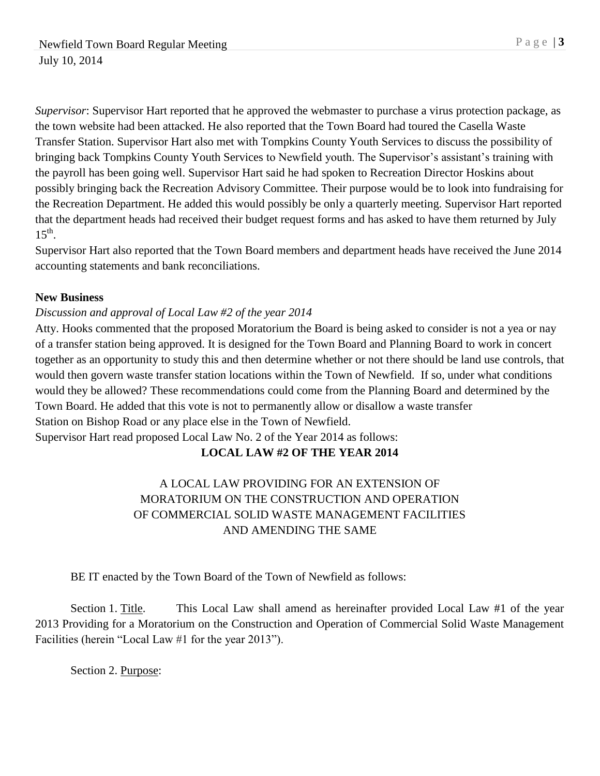*Supervisor*: Supervisor Hart reported that he approved the webmaster to purchase a virus protection package, as the town website had been attacked. He also reported that the Town Board had toured the Casella Waste Transfer Station. Supervisor Hart also met with Tompkins County Youth Services to discuss the possibility of bringing back Tompkins County Youth Services to Newfield youth. The Supervisor's assistant's training with the payroll has been going well. Supervisor Hart said he had spoken to Recreation Director Hoskins about possibly bringing back the Recreation Advisory Committee. Their purpose would be to look into fundraising for the Recreation Department. He added this would possibly be only a quarterly meeting. Supervisor Hart reported that the department heads had received their budget request forms and has asked to have them returned by July  $15^{\text{th}}$ .

Supervisor Hart also reported that the Town Board members and department heads have received the June 2014 accounting statements and bank reconciliations.

### **New Business**

### *Discussion and approval of Local Law #2 of the year 2014*

Atty. Hooks commented that the proposed Moratorium the Board is being asked to consider is not a yea or nay of a transfer station being approved. It is designed for the Town Board and Planning Board to work in concert together as an opportunity to study this and then determine whether or not there should be land use controls, that would then govern waste transfer station locations within the Town of Newfield. If so, under what conditions would they be allowed? These recommendations could come from the Planning Board and determined by the Town Board. He added that this vote is not to permanently allow or disallow a waste transfer Station on Bishop Road or any place else in the Town of Newfield. Supervisor Hart read proposed Local Law No. 2 of the Year 2014 as follows:

## **LOCAL LAW #2 OF THE YEAR 2014**

# A LOCAL LAW PROVIDING FOR AN EXTENSION OF MORATORIUM ON THE CONSTRUCTION AND OPERATION OF COMMERCIAL SOLID WASTE MANAGEMENT FACILITIES AND AMENDING THE SAME

BE IT enacted by the Town Board of the Town of Newfield as follows:

Section 1. Title. This Local Law shall amend as hereinafter provided Local Law #1 of the year 2013 Providing for a Moratorium on the Construction and Operation of Commercial Solid Waste Management Facilities (herein "Local Law #1 for the year 2013").

Section 2. Purpose: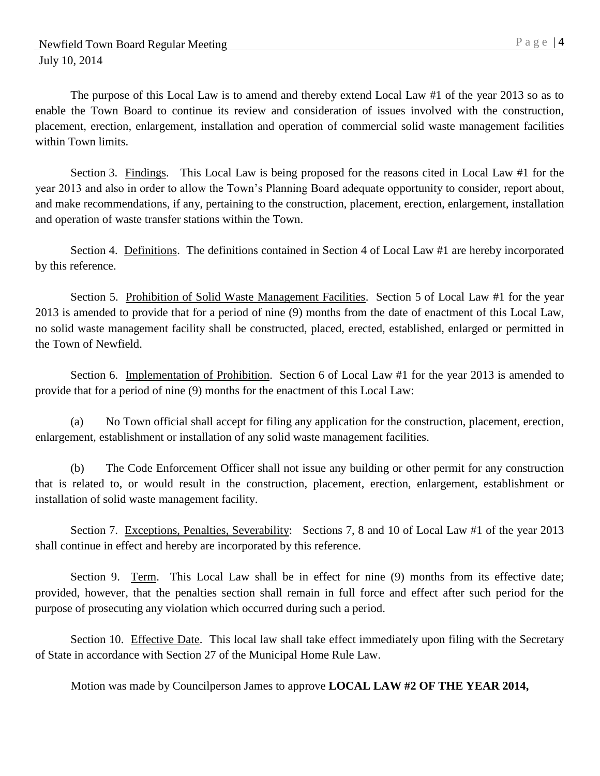within Town limits.

The purpose of this Local Law is to amend and thereby extend Local Law #1 of the year 2013 so as to enable the Town Board to continue its review and consideration of issues involved with the construction, placement, erection, enlargement, installation and operation of commercial solid waste management facilities

Section 3. Findings. This Local Law is being proposed for the reasons cited in Local Law #1 for the year 2013 and also in order to allow the Town's Planning Board adequate opportunity to consider, report about, and make recommendations, if any, pertaining to the construction, placement, erection, enlargement, installation and operation of waste transfer stations within the Town.

Section 4. Definitions. The definitions contained in Section 4 of Local Law #1 are hereby incorporated by this reference.

Section 5. Prohibition of Solid Waste Management Facilities. Section 5 of Local Law #1 for the year 2013 is amended to provide that for a period of nine (9) months from the date of enactment of this Local Law, no solid waste management facility shall be constructed, placed, erected, established, enlarged or permitted in the Town of Newfield.

Section 6. Implementation of Prohibition. Section 6 of Local Law #1 for the year 2013 is amended to provide that for a period of nine (9) months for the enactment of this Local Law:

(a) No Town official shall accept for filing any application for the construction, placement, erection, enlargement, establishment or installation of any solid waste management facilities.

(b) The Code Enforcement Officer shall not issue any building or other permit for any construction that is related to, or would result in the construction, placement, erection, enlargement, establishment or installation of solid waste management facility.

Section 7. Exceptions, Penalties, Severability: Sections 7, 8 and 10 of Local Law #1 of the year 2013 shall continue in effect and hereby are incorporated by this reference.

Section 9. Term. This Local Law shall be in effect for nine (9) months from its effective date; provided, however, that the penalties section shall remain in full force and effect after such period for the purpose of prosecuting any violation which occurred during such a period.

Section 10. Effective Date. This local law shall take effect immediately upon filing with the Secretary of State in accordance with Section 27 of the Municipal Home Rule Law.

Motion was made by Councilperson James to approve **LOCAL LAW #2 OF THE YEAR 2014,**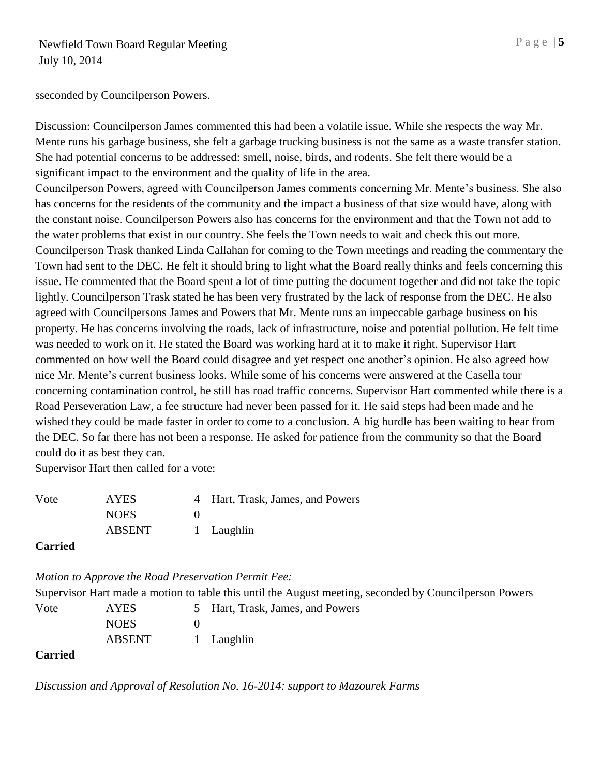sseconded by Councilperson Powers.

Discussion: Councilperson James commented this had been a volatile issue. While she respects the way Mr. Mente runs his garbage business, she felt a garbage trucking business is not the same as a waste transfer station. She had potential concerns to be addressed: smell, noise, birds, and rodents. She felt there would be a significant impact to the environment and the quality of life in the area.

Councilperson Powers, agreed with Councilperson James comments concerning Mr. Mente's business. She also has concerns for the residents of the community and the impact a business of that size would have, along with the constant noise. Councilperson Powers also has concerns for the environment and that the Town not add to the water problems that exist in our country. She feels the Town needs to wait and check this out more. Councilperson Trask thanked Linda Callahan for coming to the Town meetings and reading the commentary the Town had sent to the DEC. He felt it should bring to light what the Board really thinks and feels concerning this issue. He commented that the Board spent a lot of time putting the document together and did not take the topic lightly. Councilperson Trask stated he has been very frustrated by the lack of response from the DEC. He also agreed with Councilpersons James and Powers that Mr. Mente runs an impeccable garbage business on his property. He has concerns involving the roads, lack of infrastructure, noise and potential pollution. He felt time was needed to work on it. He stated the Board was working hard at it to make it right. Supervisor Hart commented on how well the Board could disagree and yet respect one another's opinion. He also agreed how nice Mr. Mente's current business looks. While some of his concerns were answered at the Casella tour concerning contamination control, he still has road traffic concerns. Supervisor Hart commented while there is a Road Perseveration Law, a fee structure had never been passed for it. He said steps had been made and he wished they could be made faster in order to come to a conclusion. A big hurdle has been waiting to hear from the DEC. So far there has not been a response. He asked for patience from the community so that the Board could do it as best they can.

Supervisor Hart then called for a vote:

| Vote | <b>AYES</b>   | 4 Hart, Trask, James, and Powers |
|------|---------------|----------------------------------|
|      | <b>NOES</b>   |                                  |
|      | <b>ABSENT</b> | 1 Laughlin                       |
|      |               |                                  |

**Carried**

*Motion to Approve the Road Preservation Permit Fee:* 

ABSENT 1 Laughlin

Supervisor Hart made a motion to table this until the August meeting, seconded by Councilperson Powers Vote AYES 5 Hart, Trask, James, and Powers NOES 0

#### **Carried**

*Discussion and Approval of Resolution No. 16-2014: support to Mazourek Farms*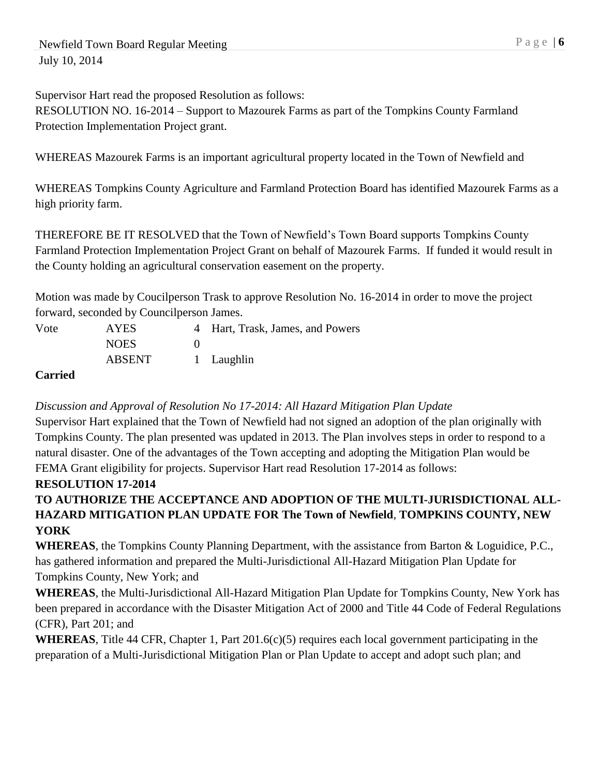Supervisor Hart read the proposed Resolution as follows:

RESOLUTION NO. 16-2014 – Support to Mazourek Farms as part of the Tompkins County Farmland Protection Implementation Project grant.

WHEREAS Mazourek Farms is an important agricultural property located in the Town of Newfield and

WHEREAS Tompkins County Agriculture and Farmland Protection Board has identified Mazourek Farms as a high priority farm.

THEREFORE BE IT RESOLVED that the Town of Newfield's Town Board supports Tompkins County Farmland Protection Implementation Project Grant on behalf of Mazourek Farms. If funded it would result in the County holding an agricultural conservation easement on the property.

Motion was made by Coucilperson Trask to approve Resolution No. 16-2014 in order to move the project forward, seconded by Councilperson James.

| Vote | AYES          | 4 Hart, Trask, James, and Powers |
|------|---------------|----------------------------------|
|      | <b>NOES</b>   |                                  |
|      | <b>ABSENT</b> | 1 Laughlin                       |

# **Carried**

# *Discussion and Approval of Resolution No 17-2014: All Hazard Mitigation Plan Update*

Supervisor Hart explained that the Town of Newfield had not signed an adoption of the plan originally with Tompkins County. The plan presented was updated in 2013. The Plan involves steps in order to respond to a natural disaster. One of the advantages of the Town accepting and adopting the Mitigation Plan would be FEMA Grant eligibility for projects. Supervisor Hart read Resolution 17-2014 as follows:

# **RESOLUTION 17-2014**

# **TO AUTHORIZE THE ACCEPTANCE AND ADOPTION OF THE MULTI-JURISDICTIONAL ALL-HAZARD MITIGATION PLAN UPDATE FOR The Town of Newfield**, **TOMPKINS COUNTY, NEW YORK**

**WHEREAS**, the Tompkins County Planning Department, with the assistance from Barton & Loguidice, P.C., has gathered information and prepared the Multi-Jurisdictional All-Hazard Mitigation Plan Update for Tompkins County, New York; and

**WHEREAS**, the Multi-Jurisdictional All-Hazard Mitigation Plan Update for Tompkins County, New York has been prepared in accordance with the Disaster Mitigation Act of 2000 and Title 44 Code of Federal Regulations (CFR), Part 201; and

**WHEREAS**, Title 44 CFR, Chapter 1, Part 201.6(c)(5) requires each local government participating in the preparation of a Multi-Jurisdictional Mitigation Plan or Plan Update to accept and adopt such plan; and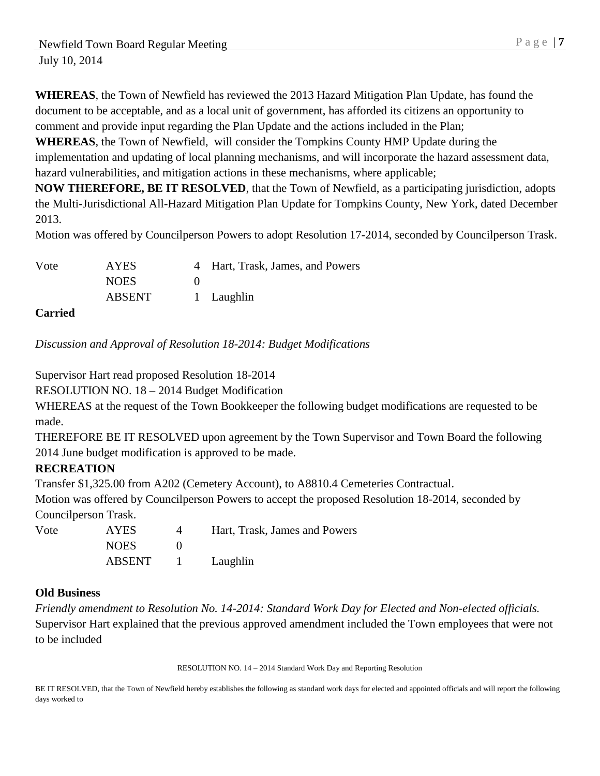**WHEREAS**, the Town of Newfield has reviewed the 2013 Hazard Mitigation Plan Update, has found the document to be acceptable, and as a local unit of government, has afforded its citizens an opportunity to comment and provide input regarding the Plan Update and the actions included in the Plan;

**WHEREAS**, the Town of Newfield, will consider the Tompkins County HMP Update during the implementation and updating of local planning mechanisms, and will incorporate the hazard assessment data, hazard vulnerabilities, and mitigation actions in these mechanisms, where applicable;

**NOW THEREFORE, BE IT RESOLVED**, that the Town of Newfield, as a participating jurisdiction, adopts the Multi-Jurisdictional All-Hazard Mitigation Plan Update for Tompkins County, New York, dated December 2013.

Motion was offered by Councilperson Powers to adopt Resolution 17-2014, seconded by Councilperson Trask.

| Vote   | <b>AYES</b>   | 4 Hart, Trask, James, and Powers |
|--------|---------------|----------------------------------|
|        | <b>NOES</b>   |                                  |
|        | <b>ABSENT</b> | 1 Laughlin                       |
| $\sim$ |               |                                  |

#### **Carried**

*Discussion and Approval of Resolution 18-2014: Budget Modifications*

Supervisor Hart read proposed Resolution 18-2014

RESOLUTION NO. 18 – 2014 Budget Modification

WHEREAS at the request of the Town Bookkeeper the following budget modifications are requested to be made.

THEREFORE BE IT RESOLVED upon agreement by the Town Supervisor and Town Board the following 2014 June budget modification is approved to be made.

### **RECREATION**

Transfer \$1,325.00 from A202 (Cemetery Account), to A8810.4 Cemeteries Contractual.

Motion was offered by Councilperson Powers to accept the proposed Resolution 18-2014, seconded by Councilperson Trask.

Vote AYES 4 Hart, Trask, James and Powers NOES 0 ABSENT 1 Laughlin

#### **Old Business**

*Friendly amendment to Resolution No. 14-2014: Standard Work Day for Elected and Non-elected officials.*  Supervisor Hart explained that the previous approved amendment included the Town employees that were not to be included

RESOLUTION NO. 14 – 2014 Standard Work Day and Reporting Resolution

BE IT RESOLVED, that the Town of Newfield hereby establishes the following as standard work days for elected and appointed officials and will report the following days worked to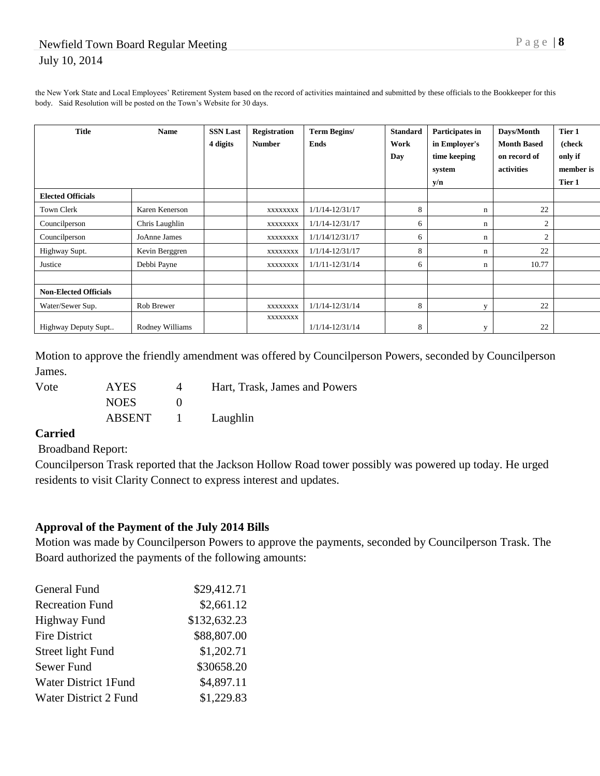the New York State and Local Employees' Retirement System based on the record of activities maintained and submitted by these officials to the Bookkeeper for this body. Said Resolution will be posted on the Town's Website for 30 days.

| <b>Title</b>                 | <b>Name</b>     | <b>SSN Last</b><br>4 digits | Registration<br><b>Number</b> | <b>Term Begins/</b><br><b>Ends</b> | <b>Standard</b><br>Work<br>Day | Participates in<br>in Employer's<br>time keeping<br>system | Days/Month<br><b>Month Based</b><br>on record of<br>activities | Tier 1<br>(check<br>only if<br>member is |
|------------------------------|-----------------|-----------------------------|-------------------------------|------------------------------------|--------------------------------|------------------------------------------------------------|----------------------------------------------------------------|------------------------------------------|
|                              |                 |                             |                               |                                    |                                | y/n                                                        |                                                                | Tier 1                                   |
| <b>Elected Officials</b>     |                 |                             |                               |                                    |                                |                                                            |                                                                |                                          |
| Town Clerk                   | Karen Kenerson  |                             | XXXXXXXX                      | $1/1/14 - 12/31/17$                | 8                              | n                                                          | 22                                                             |                                          |
| Councilperson                | Chris Laughlin  |                             | <b>XXXXXXXX</b>               | $1/1/14 - 12/31/17$                | 6                              | n                                                          | $\mathfrak{2}$                                                 |                                          |
| Councilperson                | JoAnne James    |                             | XXXXXXXX                      | 1/1/14/12/31/17                    | 6                              | n                                                          | $\mathfrak{2}$                                                 |                                          |
| Highway Supt.                | Kevin Berggren  |                             | XXXXXXXX                      | $1/1/14 - 12/31/17$                | 8                              | n                                                          | 22                                                             |                                          |
| Justice                      | Debbi Payne     |                             | XXXXXXXX                      | $1/1/11 - 12/31/14$                | 6                              | n                                                          | 10.77                                                          |                                          |
|                              |                 |                             |                               |                                    |                                |                                                            |                                                                |                                          |
| <b>Non-Elected Officials</b> |                 |                             |                               |                                    |                                |                                                            |                                                                |                                          |
| Water/Sewer Sup.             | Rob Brewer      |                             | XXXXXXXX                      | $1/1/14 - 12/31/14$                | 8                              |                                                            | 22                                                             |                                          |
| Highway Deputy Supt          | Rodney Williams |                             | XXXXXXXX                      | $1/1/14 - 12/31/14$                | 8                              |                                                            | 22                                                             |                                          |

Motion to approve the friendly amendment was offered by Councilperson Powers, seconded by Councilperson James.

| Vote | AYES        | Hart, Trask, James and Powers |
|------|-------------|-------------------------------|
|      | <b>NOES</b> |                               |
|      | ABSENT      | Laughlin                      |

### **Carried**

Broadband Report:

Councilperson Trask reported that the Jackson Hollow Road tower possibly was powered up today. He urged residents to visit Clarity Connect to express interest and updates.

### **Approval of the Payment of the July 2014 Bills**

Motion was made by Councilperson Powers to approve the payments, seconded by Councilperson Trask. The Board authorized the payments of the following amounts:

| <b>General Fund</b>    | \$29,412.71  |
|------------------------|--------------|
| <b>Recreation Fund</b> | \$2,661.12   |
| <b>Highway Fund</b>    | \$132,632.23 |
| <b>Fire District</b>   | \$88,807.00  |
| Street light Fund      | \$1,202.71   |
| Sewer Fund             | \$30658.20   |
| Water District 1 Fund  | \$4,897.11   |
| Water District 2 Fund  | \$1,229.83   |